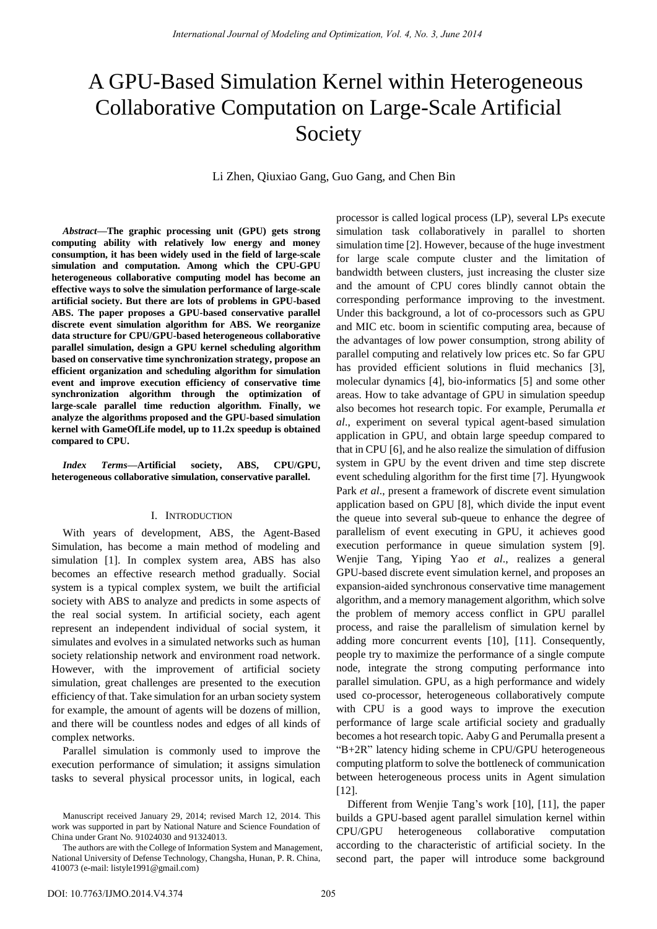# A GPU-Based Simulation Kernel within Heterogeneous Collaborative Computation on Large-Scale Artificial Society

Li Zhen, Qiuxiao Gang, Guo Gang, and Chen Bin

*Abstract***—The graphic processing unit (GPU) gets strong computing ability with relatively low energy and money consumption, it has been widely used in the field of large-scale simulation and computation. Among which the CPU-GPU heterogeneous collaborative computing model has become an effective ways to solve the simulation performance of large-scale artificial society. But there are lots of problems in GPU-based ABS. The paper proposes a GPU-based conservative parallel discrete event simulation algorithm for ABS. We reorganize data structure for CPU/GPU-based heterogeneous collaborative parallel simulation, design a GPU kernel scheduling algorithm based on conservative time synchronization strategy, propose an efficient organization and scheduling algorithm for simulation event and improve execution efficiency of conservative time synchronization algorithm through the optimization of large-scale parallel time reduction algorithm. Finally, we analyze the algorithms proposed and the GPU-based simulation kernel with GameOfLife model, up to 11.2x speedup is obtained compared to CPU.** 

*Index Terms***—Artificial society, ABS, CPU/GPU, heterogeneous collaborative simulation, conservative parallel.** 

## I. INTRODUCTION

With years of development, ABS, the Agent-Based Simulation, has become a main method of modeling and simulation [1]. In complex system area, ABS has also becomes an effective research method gradually. Social system is a typical complex system, we built the artificial society with ABS to analyze and predicts in some aspects of the real social system. In artificial society, each agent represent an independent individual of social system, it simulates and evolves in a simulated networks such as human society relationship network and environment road network. However, with the improvement of artificial society simulation, great challenges are presented to the execution efficiency of that. Take simulation for an urban society system for example, the amount of agents will be dozens of million, and there will be countless nodes and edges of all kinds of complex networks.

Parallel simulation is commonly used to improve the execution performance of simulation; it assigns simulation tasks to several physical processor units, in logical, each

processor is called logical process (LP), several LPs execute simulation task collaboratively in parallel to shorten simulation time [2]. However, because of the huge investment for large scale compute cluster and the limitation of bandwidth between clusters, just increasing the cluster size and the amount of CPU cores blindly cannot obtain the corresponding performance improving to the investment. Under this background, a lot of co-processors such as GPU and MIC etc. boom in scientific computing area, because of the advantages of low power consumption, strong ability of parallel computing and relatively low prices etc. So far GPU has provided efficient solutions in fluid mechanics [3], molecular dynamics [4], bio-informatics [5] and some other areas. How to take advantage of GPU in simulation speedup also becomes hot research topic. For example, Perumalla *et al*., experiment on several typical agent-based simulation application in GPU, and obtain large speedup compared to that in CPU [6], and he also realize the simulation of diffusion system in GPU by the event driven and time step discrete event scheduling algorithm for the first time [7]. Hyungwook Park *et al*., present a framework of discrete event simulation application based on GPU [8], which divide the input event the queue into several sub-queue to enhance the degree of parallelism of event executing in GPU, it achieves good execution performance in queue simulation system [9]. Wenjie Tang, Yiping Yao *et al*., realizes a general GPU-based discrete event simulation kernel, and proposes an expansion-aided synchronous conservative time management algorithm, and a memory management algorithm, which solve the problem of memory access conflict in GPU parallel process, and raise the parallelism of simulation kernel by adding more concurrent events [10], [11]. Consequently, people try to maximize the performance of a single compute node, integrate the strong computing performance into parallel simulation. GPU, as a high performance and widely used co-processor, heterogeneous collaboratively compute with CPU is a good ways to improve the execution performance of large scale artificial society and gradually becomes a hot research topic. Aaby G and Perumalla present a "B+2R" latency hiding scheme in CPU/GPU heterogeneous computing platform to solve the bottleneck of communication between heterogeneous process units in Agent simulation [12].

Different from Wenjie Tang's work [10], [11], the paper builds a GPU-based agent parallel simulation kernel within CPU/GPU heterogeneous collaborative computation according to the characteristic of artificial society. In the second part, the paper will introduce some background

Manuscript received January 29, 2014; revised March 12, 2014. This work was supported in part by National Nature and Science Foundation of China under Grant No. 91024030 and 91324013.

The authors are with the College of Information System and Management, National University of Defense Technology, Changsha, Hunan, P. R. China, 410073 (e-mail: listyle1991@gmail.com)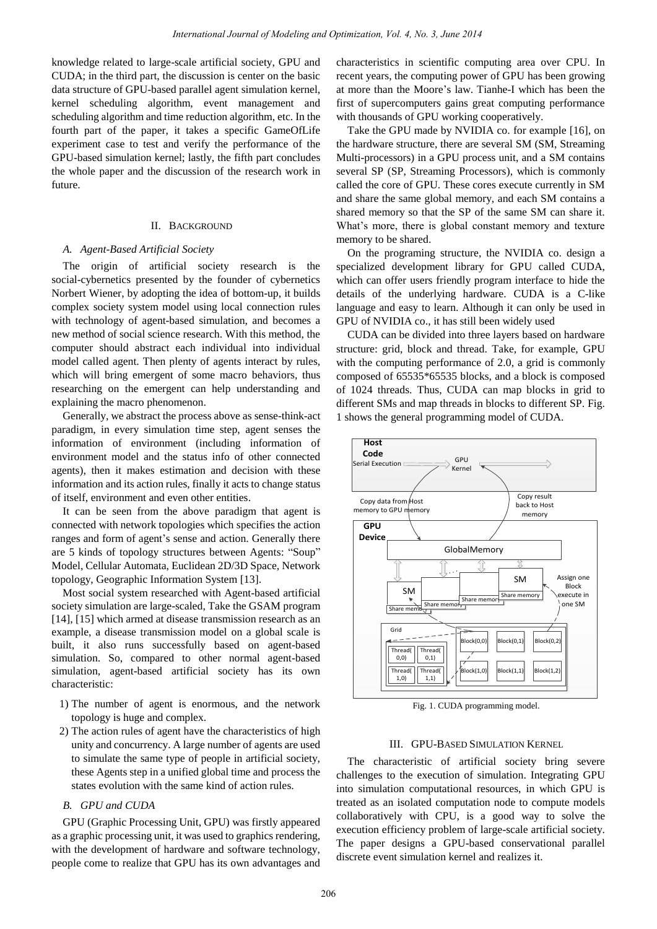knowledge related to large-scale artificial society, GPU and CUDA; in the third part, the discussion is center on the basic data structure of GPU-based parallel agent simulation kernel, kernel scheduling algorithm, event management and scheduling algorithm and time reduction algorithm, etc. In the fourth part of the paper, it takes a specific GameOfLife experiment case to test and verify the performance of the GPU-based simulation kernel; lastly, the fifth part concludes the whole paper and the discussion of the research work in future.

## II. BACKGROUND

### *A. Agent-Based Artificial Society*

The origin of artificial society research is the social-cybernetics presented by the founder of cybernetics Norbert Wiener, by adopting the idea of bottom-up, it builds complex society system model using local connection rules with technology of agent-based simulation, and becomes a new method of social science research. With this method, the computer should abstract each individual into individual model called agent. Then plenty of agents interact by rules, which will bring emergent of some macro behaviors, thus researching on the emergent can help understanding and explaining the macro phenomenon.

Generally, we abstract the process above as sense-think-act paradigm, in every simulation time step, agent senses the information of environment (including information of environment model and the status info of other connected agents), then it makes estimation and decision with these information and its action rules, finally it acts to change status of itself, environment and even other entities.

It can be seen from the above paradigm that agent is connected with network topologies which specifies the action ranges and form of agent's sense and action. Generally there are 5 kinds of topology structures between Agents: "Soup" Model, Cellular Automata, Euclidean 2D/3D Space, Network topology, Geographic Information System [13].

Most social system researched with Agent-based artificial society simulation are large-scaled, Take the GSAM program [14], [15] which armed at disease transmission research as an example, a disease transmission model on a global scale is built, it also runs successfully based on agent-based simulation. So, compared to other normal agent-based simulation, agent-based artificial society has its own characteristic:

- 1) The number of agent is enormous, and the network topology is huge and complex.
- 2) The action rules of agent have the characteristics of high unity and concurrency. A large number of agents are used to simulate the same type of people in artificial society, these Agents step in a unified global time and process the states evolution with the same kind of action rules.

# *B. GPU and CUDA*

GPU (Graphic Processing Unit, GPU) was firstly appeared as a graphic processing unit, it was used to graphics rendering, with the development of hardware and software technology, people come to realize that GPU has its own advantages and

characteristics in scientific computing area over CPU. In recent years, the computing power of GPU has been growing at more than the Moore's law. Tianhe-I which has been the first of supercomputers gains great computing performance with thousands of GPU working cooperatively.

Take the GPU made by NVIDIA co. for example [16], on the hardware structure, there are several SM (SM, Streaming Multi-processors) in a GPU process unit, and a SM contains several SP (SP, Streaming Processors), which is commonly called the core of GPU. These cores execute currently in SM and share the same global memory, and each SM contains a shared memory so that the SP of the same SM can share it. What's more, there is global constant memory and texture memory to be shared.

On the programing structure, the NVIDIA co. design a specialized development library for GPU called CUDA, which can offer users friendly program interface to hide the details of the underlying hardware. CUDA is a C-like language and easy to learn. Although it can only be used in GPU of NVIDIA co., it has still been widely used

CUDA can be divided into three layers based on hardware structure: grid, block and thread. Take, for example, GPU with the computing performance of 2.0, a grid is commonly composed of 65535\*65535 blocks, and a block is composed of 1024 threads. Thus, CUDA can map blocks in grid to different SMs and map threads in blocks to different SP. Fig. 1 shows the general programming model of CUDA.



Fig. 1. CUDA programming model.

## III. GPU-BASED SIMULATION KERNEL

The characteristic of artificial society bring severe challenges to the execution of simulation. Integrating GPU into simulation computational resources, in which GPU is treated as an isolated computation node to compute models collaboratively with CPU, is a good way to solve the execution efficiency problem of large-scale artificial society. The paper designs a GPU-based conservational parallel discrete event simulation kernel and realizes it.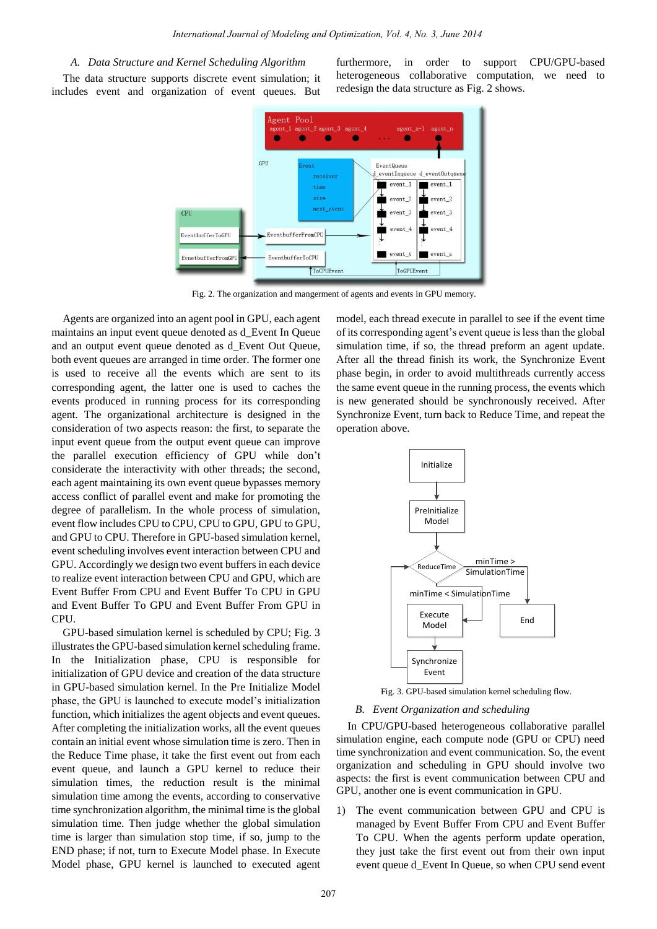## *A. Data Structure and Kernel Scheduling Algorithm*

The data structure supports discrete event simulation; it includes event and organization of event queues. But

furthermore, in order to support CPU/GPU-based heterogeneous collaborative computation, we need to redesign the data structure as Fig. 2 shows.



Fig. 2. The organization and mangerment of agents and events in GPU memory.

Agents are organized into an agent pool in GPU, each agent maintains an input event queue denoted as d\_Event In Queue and an output event queue denoted as d\_Event Out Queue, both event queues are arranged in time order. The former one is used to receive all the events which are sent to its corresponding agent, the latter one is used to caches the events produced in running process for its corresponding agent. The organizational architecture is designed in the consideration of two aspects reason: the first, to separate the input event queue from the output event queue can improve the parallel execution efficiency of GPU while don't considerate the interactivity with other threads; the second, each agent maintaining its own event queue bypasses memory access conflict of parallel event and make for promoting the degree of parallelism. In the whole process of simulation, event flow includes CPU to CPU, CPU to GPU, GPU to GPU, and GPU to CPU. Therefore in GPU-based simulation kernel, event scheduling involves event interaction between CPU and GPU. Accordingly we design two event buffers in each device to realize event interaction between CPU and GPU, which are Event Buffer From CPU and Event Buffer To CPU in GPU and Event Buffer To GPU and Event Buffer From GPU in CPU.

GPU-based simulation kernel is scheduled by CPU; Fig. 3 illustrates the GPU-based simulation kernel scheduling frame. In the Initialization phase, CPU is responsible for initialization of GPU device and creation of the data structure in GPU-based simulation kernel. In the Pre Initialize Model phase, the GPU is launched to execute model's initialization function, which initializes the agent objects and event queues. After completing the initialization works, all the event queues contain an initial event whose simulation time is zero. Then in the Reduce Time phase, it take the first event out from each event queue, and launch a GPU kernel to reduce their simulation times, the reduction result is the minimal simulation time among the events, according to conservative time synchronization algorithm, the minimal time is the global simulation time. Then judge whether the global simulation time is larger than simulation stop time, if so, jump to the END phase; if not, turn to Execute Model phase. In Execute Model phase, GPU kernel is launched to executed agent model, each thread execute in parallel to see if the event time of its corresponding agent's event queue is less than the global simulation time, if so, the thread preform an agent update. After all the thread finish its work, the Synchronize Event phase begin, in order to avoid multithreads currently access the same event queue in the running process, the events which is new generated should be synchronously received. After Synchronize Event, turn back to Reduce Time, and repeat the operation above.



Fig. 3. GPU-based simulation kernel scheduling flow.

### *B. Event Organization and scheduling*

In CPU/GPU-based heterogeneous collaborative parallel simulation engine, each compute node (GPU or CPU) need time synchronization and event communication. So, the event organization and scheduling in GPU should involve two aspects: the first is event communication between CPU and GPU, another one is event communication in GPU.

1) The event communication between GPU and CPU is managed by Event Buffer From CPU and Event Buffer To CPU. When the agents perform update operation, they just take the first event out from their own input event queue d\_Event In Queue, so when CPU send event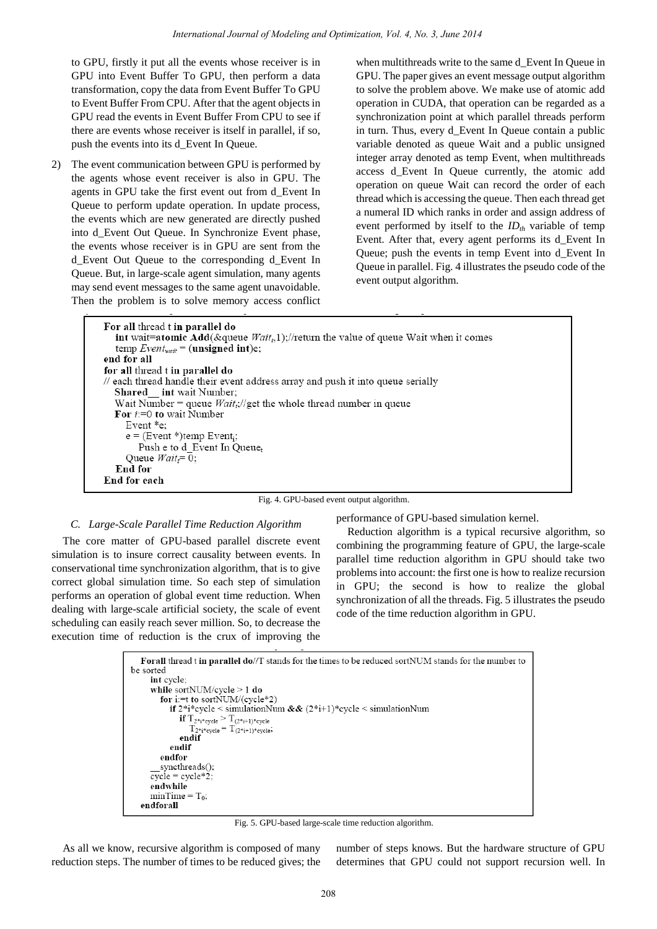to GPU, firstly it put all the events whose receiver is in GPU into Event Buffer To GPU, then perform a data transformation, copy the data from Event Buffer To GPU to Event Buffer From CPU. After that the agent objects in GPU read the events in Event Buffer From CPU to see if there are events whose receiver is itself in parallel, if so, push the events into its d\_Event In Queue.

2) The event communication between GPU is performed by the agents whose event receiver is also in GPU. The agents in GPU take the first event out from d\_Event In Queue to perform update operation. In update process, the events which are new generated are directly pushed into d\_Event Out Queue. In Synchronize Event phase, the events whose receiver is in GPU are sent from the d\_Event Out Queue to the corresponding d\_Event In Queue. But, in large-scale agent simulation, many agents may send event messages to the same agent unavoidable. Then the problem is to solve memory access conflict

when multithreads write to the same d\_Event In Queue in GPU. The paper gives an event message output algorithm to solve the problem above. We make use of atomic add operation in CUDA, that operation can be regarded as a synchronization point at which parallel threads perform in turn. Thus, every d\_Event In Queue contain a public variable denoted as queue Wait and a public unsigned integer array denoted as temp Event, when multithreads access d\_Event In Queue currently, the atomic add operation on queue Wait can record the order of each thread which is accessing the queue. Then each thread get a numeral ID which ranks in order and assign address of event performed by itself to the *IDth* variable of temp Event. After that, every agent performs its d\_Event In Queue; push the events in temp Event into d\_Event In Queue in parallel. Fig. 4 illustrates the pseudo code of the event output algorithm.

For all thread t in parallel do int wait=atomic Add(&queue  $Wait<sub>t</sub>$ ,1);//return the value of queue Wait when it comes temp  $Event_{wait}$  = (unsigned int)e; end for all for all thread t in parallel do // each thread handle their event address array and push it into queue serially Shared int wait Number; Wait Number = queue  $Wait_t$ ://get the whole thread number in queue For  $i=0$  to wait Number Event \*e;  $e = (Event *)temp$  Event<sub>i</sub>; Push e to d\_Event In Queuet Queue  $Wait = 0$ ; End for End for each

Fig. 4. GPU-based event output algorithm.

## *C. Large-Scale Parallel Time Reduction Algorithm*

The core matter of GPU-based parallel discrete event simulation is to insure correct causality between events. In conservational time synchronization algorithm, that is to give correct global simulation time. So each step of simulation performs an operation of global event time reduction. When dealing with large-scale artificial society, the scale of event scheduling can easily reach sever million. So, to decrease the execution time of reduction is the crux of improving the performance of GPU-based simulation kernel.

Reduction algorithm is a typical recursive algorithm, so combining the programming feature of GPU, the large-scale parallel time reduction algorithm in GPU should take two problems into account: the first one is how to realize recursion in GPU; the second is how to realize the global synchronization of all the threads. Fig. 5 illustrates the pseudo code of the time reduction algorithm in GPU.

```
For all thread t in parallel do//T stands for the times to be reduced sortNUM stands for the number to
be sorted
      int cycle:
      while sortNUM/cycle > 1 do
         for i:= t to sortNUM/(cycle*2)
            if 2^*i^*cycle < simulationNum && (2^*i+1)^*cycle < simulationNum
               if T_{2^*i^*\text{cycle}} > T_{(2^*i+1)^*\text{cycle}}<br>T_{2^*i^*\text{cycle}} = T_{(2^*i+1)^*\text{cycle}}endif
            endif
         endfor
         syncthreads();
      \overline{\text{cycle}} = \text{cycle} * 2;endwhile
      minTime = T_0;
   endforall
```
Fig. 5. GPU-based large-scale time reduction algorithm.

As all we know, recursive algorithm is composed of many reduction steps. The number of times to be reduced gives; the

number of steps knows. But the hardware structure of GPU determines that GPU could not support recursion well. In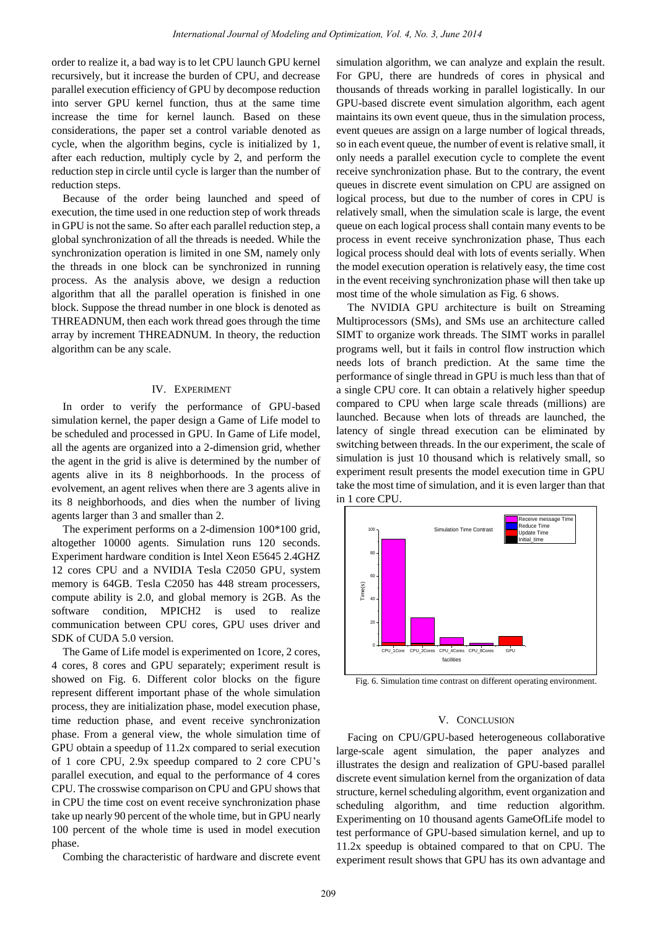order to realize it, a bad way is to let CPU launch GPU kernel recursively, but it increase the burden of CPU, and decrease parallel execution efficiency of GPU by decompose reduction into server GPU kernel function, thus at the same time increase the time for kernel launch. Based on these considerations, the paper set a control variable denoted as cycle, when the algorithm begins, cycle is initialized by 1, after each reduction, multiply cycle by 2, and perform the reduction step in circle until cycle is larger than the number of reduction steps.

Because of the order being launched and speed of execution, the time used in one reduction step of work threads in GPU is not the same. So after each parallel reduction step, a global synchronization of all the threads is needed. While the synchronization operation is limited in one SM, namely only the threads in one block can be synchronized in running process. As the analysis above, we design a reduction algorithm that all the parallel operation is finished in one block. Suppose the thread number in one block is denoted as THREADNUM, then each work thread goes through the time array by increment THREADNUM. In theory, the reduction algorithm can be any scale.

#### IV. EXPERIMENT

In order to verify the performance of GPU-based simulation kernel, the paper design a Game of Life model to be scheduled and processed in GPU. In Game of Life model, all the agents are organized into a 2-dimension grid, whether the agent in the grid is alive is determined by the number of agents alive in its 8 neighborhoods. In the process of evolvement, an agent relives when there are 3 agents alive in its 8 neighborhoods, and dies when the number of living agents larger than 3 and smaller than 2.

The experiment performs on a 2-dimension 100\*100 grid, altogether 10000 agents. Simulation runs 120 seconds. Experiment hardware condition is Intel Xeon E5645 2.4GHZ 12 cores CPU and a NVIDIA Tesla C2050 GPU, system memory is 64GB. Tesla C2050 has 448 stream processers, compute ability is 2.0, and global memory is 2GB. As the software condition, MPICH2 is used to realize communication between CPU cores, GPU uses driver and SDK of CUDA 5.0 version.

The Game of Life model is experimented on 1core, 2 cores, 4 cores, 8 cores and GPU separately; experiment result is showed on Fig. 6. Different color blocks on the figure represent different important phase of the whole simulation process, they are initialization phase, model execution phase, time reduction phase, and event receive synchronization phase. From a general view, the whole simulation time of GPU obtain a speedup of 11.2x compared to serial execution of 1 core CPU, 2.9x speedup compared to 2 core CPU's parallel execution, and equal to the performance of 4 cores CPU. The crosswise comparison on CPU and GPU shows that in CPU the time cost on event receive synchronization phase take up nearly 90 percent of the whole time, but in GPU nearly 100 percent of the whole time is used in model execution phase.

Combing the characteristic of hardware and discrete event

simulation algorithm, we can analyze and explain the result. For GPU, there are hundreds of cores in physical and thousands of threads working in parallel logistically. In our GPU-based discrete event simulation algorithm, each agent maintains its own event queue, thus in the simulation process, event queues are assign on a large number of logical threads, so in each event queue, the number of event is relative small, it only needs a parallel execution cycle to complete the event receive synchronization phase. But to the contrary, the event queues in discrete event simulation on CPU are assigned on logical process, but due to the number of cores in CPU is relatively small, when the simulation scale is large, the event queue on each logical process shall contain many events to be process in event receive synchronization phase, Thus each logical process should deal with lots of events serially. When the model execution operation is relatively easy, the time cost in the event receiving synchronization phase will then take up most time of the whole simulation as Fig. 6 shows.

The NVIDIA GPU architecture is built on Streaming Multiprocessors (SMs), and SMs use an architecture called SIMT to organize work threads. The SIMT works in parallel programs well, but it fails in control flow instruction which needs lots of branch prediction. At the same time the performance of single thread in GPU is much less than that of a single CPU core. It can obtain a relatively higher speedup compared to CPU when large scale threads (millions) are launched. Because when lots of threads are launched, the latency of single thread execution can be eliminated by switching between threads. In the our experiment, the scale of simulation is just 10 thousand which is relatively small, so experiment result presents the model execution time in GPU take the most time of simulation, and it is even larger than that in 1 core CPU.



Fig. 6. Simulation time contrast on different operating environment.

#### V. CONCLUSION

Facing on CPU/GPU-based heterogeneous collaborative large-scale agent simulation, the paper analyzes and illustrates the design and realization of GPU-based parallel discrete event simulation kernel from the organization of data structure, kernel scheduling algorithm, event organization and scheduling algorithm, and time reduction algorithm. Experimenting on 10 thousand agents GameOfLife model to test performance of GPU-based simulation kernel, and up to 11.2x speedup is obtained compared to that on CPU. The experiment result shows that GPU has its own advantage and